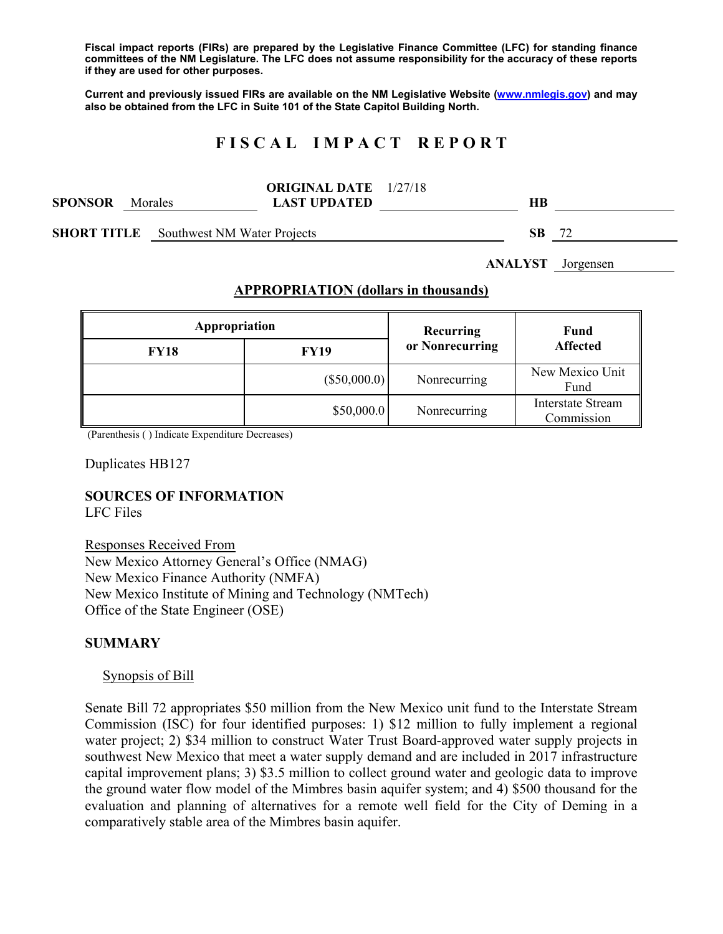**Fiscal impact reports (FIRs) are prepared by the Legislative Finance Committee (LFC) for standing finance committees of the NM Legislature. The LFC does not assume responsibility for the accuracy of these reports if they are used for other purposes.** 

**Current and previously issued FIRs are available on the NM Legislative Website (www.nmlegis.gov) and may also be obtained from the LFC in Suite 101 of the State Capitol Building North.** 

# **F I S C A L I M P A C T R E P O R T**

|                |         | <b>ORIGINAL DATE</b> 1/27/18 |    |
|----------------|---------|------------------------------|----|
| <b>SPONSOR</b> | Morales | <b>LAST UPDATED</b>          | HВ |
|                |         |                              |    |

**SHORT TITLE** Southwest NM Water Projects **SB** 72

**ANALYST** Jorgensen

#### **APPROPRIATION (dollars in thousands)**

| Appropriation |                | Recurring<br>or Nonrecurring | <b>Fund</b><br><b>Affected</b>         |
|---------------|----------------|------------------------------|----------------------------------------|
| <b>FY18</b>   | <b>FY19</b>    |                              |                                        |
|               | $(\$50,000.0)$ | Nonrecurring                 | New Mexico Unit<br>Fund                |
|               | \$50,000.0     | Nonrecurring                 | <b>Interstate Stream</b><br>Commission |

(Parenthesis ( ) Indicate Expenditure Decreases)

Duplicates HB127

## **SOURCES OF INFORMATION**

LFC Files

Responses Received From New Mexico Attorney General's Office (NMAG) New Mexico Finance Authority (NMFA) New Mexico Institute of Mining and Technology (NMTech) Office of the State Engineer (OSE)

#### **SUMMARY**

#### Synopsis of Bill

Senate Bill 72 appropriates \$50 million from the New Mexico unit fund to the Interstate Stream Commission (ISC) for four identified purposes: 1) \$12 million to fully implement a regional water project; 2) \$34 million to construct Water Trust Board-approved water supply projects in southwest New Mexico that meet a water supply demand and are included in 2017 infrastructure capital improvement plans; 3) \$3.5 million to collect ground water and geologic data to improve the ground water flow model of the Mimbres basin aquifer system; and 4) \$500 thousand for the evaluation and planning of alternatives for a remote well field for the City of Deming in a comparatively stable area of the Mimbres basin aquifer.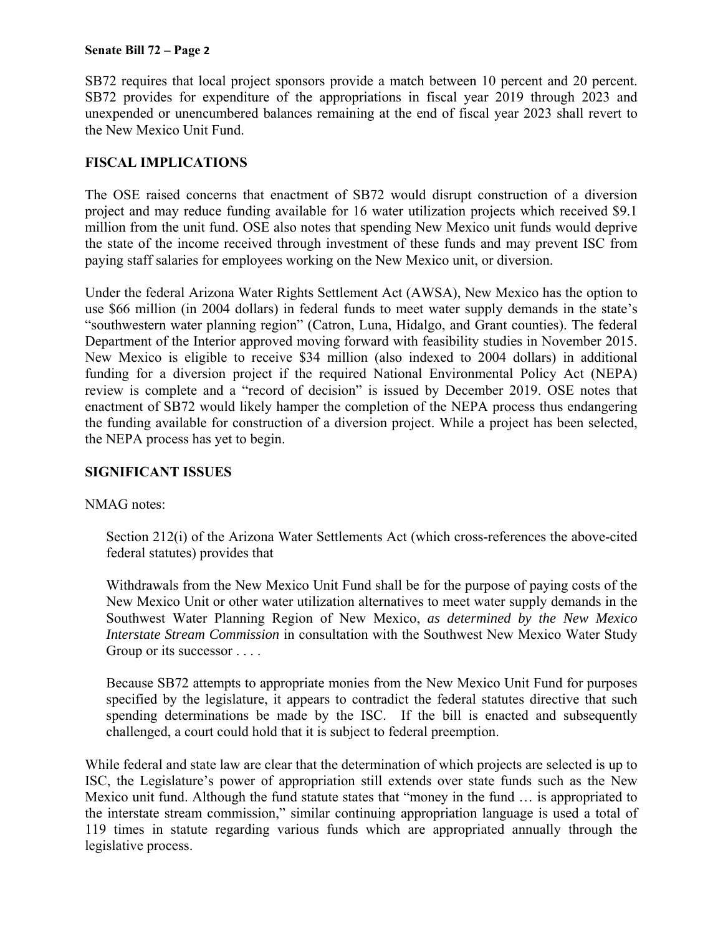#### **Senate Bill 72 – Page 2**

SB72 requires that local project sponsors provide a match between 10 percent and 20 percent. SB72 provides for expenditure of the appropriations in fiscal year 2019 through 2023 and unexpended or unencumbered balances remaining at the end of fiscal year 2023 shall revert to the New Mexico Unit Fund.

### **FISCAL IMPLICATIONS**

The OSE raised concerns that enactment of SB72 would disrupt construction of a diversion project and may reduce funding available for 16 water utilization projects which received \$9.1 million from the unit fund. OSE also notes that spending New Mexico unit funds would deprive the state of the income received through investment of these funds and may prevent ISC from paying staff salaries for employees working on the New Mexico unit, or diversion.

Under the federal Arizona Water Rights Settlement Act (AWSA), New Mexico has the option to use \$66 million (in 2004 dollars) in federal funds to meet water supply demands in the state's "southwestern water planning region" (Catron, Luna, Hidalgo, and Grant counties). The federal Department of the Interior approved moving forward with feasibility studies in November 2015. New Mexico is eligible to receive \$34 million (also indexed to 2004 dollars) in additional funding for a diversion project if the required National Environmental Policy Act (NEPA) review is complete and a "record of decision" is issued by December 2019. OSE notes that enactment of SB72 would likely hamper the completion of the NEPA process thus endangering the funding available for construction of a diversion project. While a project has been selected, the NEPA process has yet to begin.

### **SIGNIFICANT ISSUES**

### NMAG notes:

Section 212(i) of the Arizona Water Settlements Act (which cross-references the above-cited federal statutes) provides that

Withdrawals from the New Mexico Unit Fund shall be for the purpose of paying costs of the New Mexico Unit or other water utilization alternatives to meet water supply demands in the Southwest Water Planning Region of New Mexico, *as determined by the New Mexico Interstate Stream Commission* in consultation with the Southwest New Mexico Water Study Group or its successor . . . .

Because SB72 attempts to appropriate monies from the New Mexico Unit Fund for purposes specified by the legislature, it appears to contradict the federal statutes directive that such spending determinations be made by the ISC. If the bill is enacted and subsequently challenged, a court could hold that it is subject to federal preemption.

While federal and state law are clear that the determination of which projects are selected is up to ISC, the Legislature's power of appropriation still extends over state funds such as the New Mexico unit fund. Although the fund statute states that "money in the fund … is appropriated to the interstate stream commission," similar continuing appropriation language is used a total of 119 times in statute regarding various funds which are appropriated annually through the legislative process.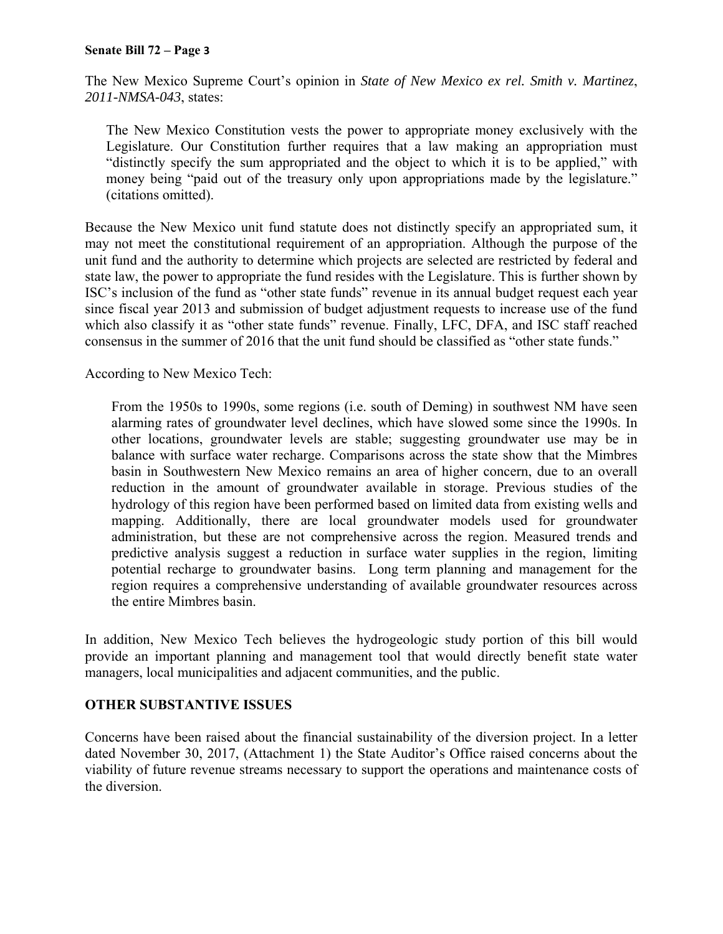#### **Senate Bill 72 – Page 3**

The New Mexico Supreme Court's opinion in *State of New Mexico ex rel. Smith v. Martinez*, *2011-NMSA-043*, states:

The New Mexico Constitution vests the power to appropriate money exclusively with the Legislature. Our Constitution further requires that a law making an appropriation must "distinctly specify the sum appropriated and the object to which it is to be applied," with money being "paid out of the treasury only upon appropriations made by the legislature." (citations omitted).

Because the New Mexico unit fund statute does not distinctly specify an appropriated sum, it may not meet the constitutional requirement of an appropriation. Although the purpose of the unit fund and the authority to determine which projects are selected are restricted by federal and state law, the power to appropriate the fund resides with the Legislature. This is further shown by ISC's inclusion of the fund as "other state funds" revenue in its annual budget request each year since fiscal year 2013 and submission of budget adjustment requests to increase use of the fund which also classify it as "other state funds" revenue. Finally, LFC, DFA, and ISC staff reached consensus in the summer of 2016 that the unit fund should be classified as "other state funds."

According to New Mexico Tech:

From the 1950s to 1990s, some regions (i.e. south of Deming) in southwest NM have seen alarming rates of groundwater level declines, which have slowed some since the 1990s. In other locations, groundwater levels are stable; suggesting groundwater use may be in balance with surface water recharge. Comparisons across the state show that the Mimbres basin in Southwestern New Mexico remains an area of higher concern, due to an overall reduction in the amount of groundwater available in storage. Previous studies of the hydrology of this region have been performed based on limited data from existing wells and mapping. Additionally, there are local groundwater models used for groundwater administration, but these are not comprehensive across the region. Measured trends and predictive analysis suggest a reduction in surface water supplies in the region, limiting potential recharge to groundwater basins. Long term planning and management for the region requires a comprehensive understanding of available groundwater resources across the entire Mimbres basin.

In addition, New Mexico Tech believes the hydrogeologic study portion of this bill would provide an important planning and management tool that would directly benefit state water managers, local municipalities and adjacent communities, and the public.

### **OTHER SUBSTANTIVE ISSUES**

Concerns have been raised about the financial sustainability of the diversion project. In a letter dated November 30, 2017, (Attachment 1) the State Auditor's Office raised concerns about the viability of future revenue streams necessary to support the operations and maintenance costs of the diversion.